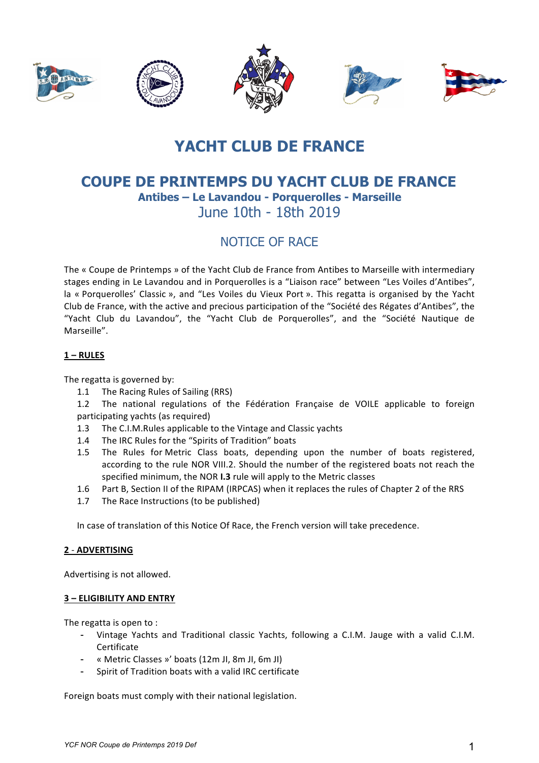

# **YACHT CLUB DE FRANCE**

## **COUPE DE PRINTEMPS DU YACHT CLUB DE FRANCE** Antibes - Le Lavandou - Porquerolles - Marseille June 10th - 18th 2019

## NOTICE OF RACE

The « Coupe de Printemps » of the Yacht Club de France from Antibes to Marseille with intermediary stages ending in Le Lavandou and in Porquerolles is a "Liaison race" between "Les Voiles d'Antibes", la « Porquerolles' Classic », and "Les Voiles du Vieux Port ». This regatta is organised by the Yacht Club de France, with the active and precious participation of the "Société des Régates d'Antibes", the "Yacht Club du Lavandou", the "Yacht Club de Porquerolles", and the "Société Nautique de Marseille".

## $1 - RULES$

The regatta is governed by:

- The Racing Rules of Sailing (RRS)  $1.1$
- $1.2$ The national regulations of the Fédération Française de VOILE applicable to foreign participating yachts (as required)
- 1.3 The C.I.M. Rules applicable to the Vintage and Classic yachts
- The IRC Rules for the "Spirits of Tradition" boats  $1.4$
- The Rules for Metric Class boats, depending upon the number of boats registered.  $1.5$ according to the rule NOR VIII.2. Should the number of the registered boats not reach the specified minimum, the NOR I.3 rule will apply to the Metric classes
- $1.6$ Part B, Section II of the RIPAM (IRPCAS) when it replaces the rules of Chapter 2 of the RRS
- The Race Instructions (to be published)  $1.7$

In case of translation of this Notice Of Race, the French version will take precedence.

## 2 - ADVERTISING

Advertising is not allowed.

#### 3 - ELIGIBILITY AND ENTRY

The regatta is open to:

- Vintage Yachts and Traditional classic Yachts, following a C.I.M. Jauge with a valid C.I.M. Certificate
- « Metric Classes »' boats (12m JI, 8m JI, 6m JI)
- Spirit of Tradition boats with a valid IRC certificate

Foreign boats must comply with their national legislation.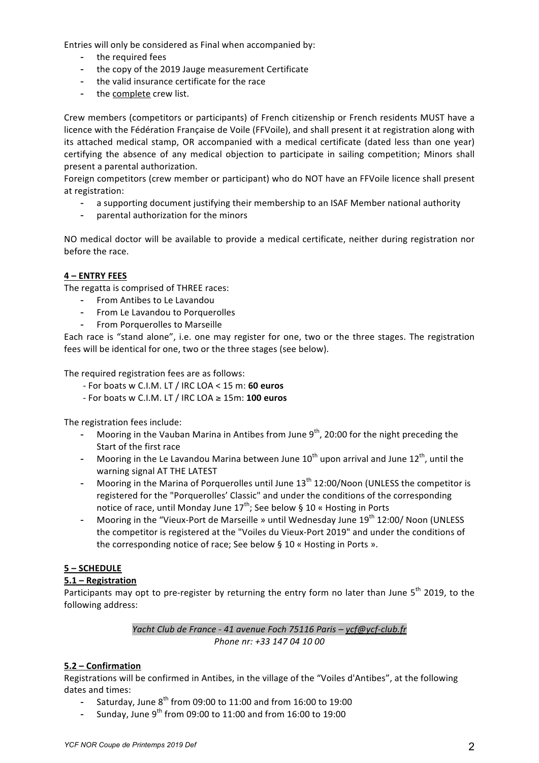Entries will only be considered as Final when accompanied by:

- the required fees
- the copy of the 2019 Jauge measurement Certificate
- the valid insurance certificate for the race
- the complete crew list.

Crew members (competitors or participants) of French citizenship or French residents MUST have a licence with the Fédération Française de Voile (FFVoile), and shall present it at registration along with its attached medical stamp, OR accompanied with a medical certificate (dated less than one year) certifying the absence of any medical objection to participate in sailing competition; Minors shall present a parental authorization.

Foreign competitors (crew member or participant) who do NOT have an FFVoile licence shall present at registration:

- a supporting document justifying their membership to an ISAF Member national authority
- parental authorization for the minors  $\sim$

NO medical doctor will be available to provide a medical certificate, neither during registration nor before the race.

### 4 - ENTRY FEES

The regatta is comprised of THREE races:

- From Antibes to Le Lavandou
- From Le Lavandou to Porquerolles
- From Porquerolles to Marseille

Each race is "stand alone", i.e. one may register for one, two or the three stages. The registration fees will be identical for one, two or the three stages (see below).

The required registration fees are as follows:

- For boats w C.I.M. LT / IRC LOA < 15 m: 60 euros
- For boats w C.I.M. LT / IRC LOA  $\geq$  15m: 100 euros

The registration fees include:

- Mooring in the Vauban Marina in Antibes from June  $9<sup>th</sup>$ , 20:00 for the night preceding the Start of the first race
- Mooring in the Le Lavandou Marina between June  $10^{th}$  upon arrival and June  $12^{th}$ , until the warning signal AT THE LATEST
- Mooring in the Marina of Porquerolles until June 13<sup>th</sup> 12:00/Noon (UNLESS the competitor is registered for the "Porquerolles' Classic" and under the conditions of the corresponding notice of race, until Monday June 17<sup>th</sup>; See below § 10 « Hosting in Ports
- Mooring in the "Vieux-Port de Marseille » until Wednesday June 19<sup>th</sup> 12:00/ Noon (UNLESS the competitor is registered at the "Voiles du Vieux-Port 2019" and under the conditions of the corresponding notice of race; See below § 10 « Hosting in Ports ».

## 5-SCHEDULE

#### $5.1 -$  Registration

Participants may opt to pre-register by returning the entry form no later than June 5<sup>th</sup> 2019, to the following address:

> Yacht Club de France - 41 avenue Foch 75116 Paris - ycf@ycf-club.fr Phone nr: +33 147 04 10 00

## 5.2 – Confirmation

Registrations will be confirmed in Antibes, in the village of the "Voiles d'Antibes", at the following dates and times:

- Saturday, June 8<sup>th</sup> from 09:00 to 11:00 and from 16:00 to 19:00
- Sunday, June 9<sup>th</sup> from 09:00 to 11:00 and from 16:00 to 19:00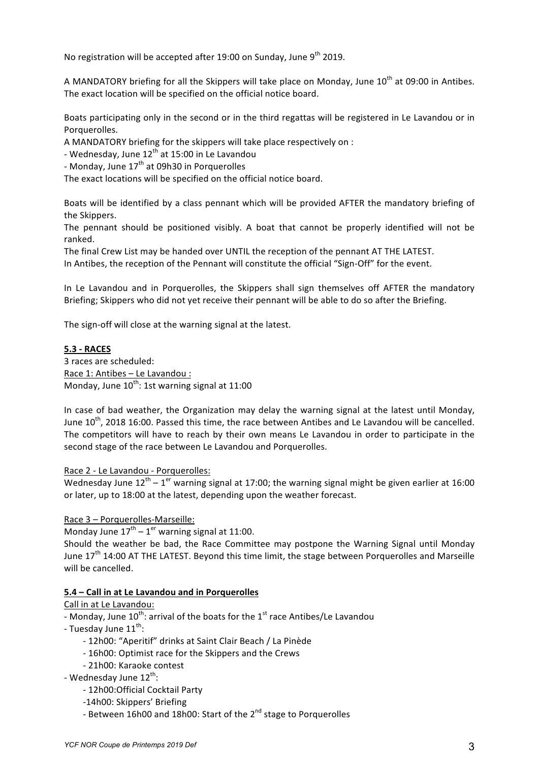No registration will be accepted after 19:00 on Sunday, June 9<sup>th</sup> 2019.

A MANDATORY briefing for all the Skippers will take place on Monday, June  $10^{th}$  at 09:00 in Antibes. The exact location will be specified on the official notice board.

Boats participating only in the second or in the third regattas will be registered in Le Lavandou or in Porquerolles.

A MANDATORY briefing for the skippers will take place respectively on :

- Wednesday, June  $12^{th}$  at 15:00 in Le Lavandou
- Monday, June  $17<sup>th</sup>$  at 09h30 in Porquerolles

The exact locations will be specified on the official notice board.

Boats will be identified by a class pennant which will be provided AFTER the mandatory briefing of the Skippers.

The pennant should be positioned visibly. A boat that cannot be properly identified will not be ranked.

The final Crew List may be handed over UNTIL the reception of the pennant AT THE LATEST. In Antibes, the reception of the Pennant will constitute the official "Sign-Off" for the event.

In Le Lavandou and in Porquerolles, the Skippers shall sign themselves off AFTER the mandatory Briefing; Skippers who did not yet receive their pennant will be able to do so after the Briefing.

The sign-off will close at the warning signal at the latest.

#### **5.3 H RACES**

3 races are scheduled: Race 1: Antibes – Le Lavandou : Monday, June  $10^{th}$ : 1st warning signal at 11:00

In case of bad weather, the Organization may delay the warning signal at the latest until Monday, June 10<sup>th</sup>, 2018 16:00. Passed this time, the race between Antibes and Le Lavandou will be cancelled. The competitors will have to reach by their own means Le Lavandou in order to participate in the second stage of the race between Le Lavandou and Porquerolles.

#### Race 2 - Le Lavandou - Porquerolles:

Wednesday June  $12^{th} - 1^{er}$  warning signal at 17:00; the warning signal might be given earlier at 16:00 or later, up to 18:00 at the latest, depending upon the weather forecast.

Race 3 – Porquerolles-Marseille:

Monday June  $17<sup>th</sup> - 1<sup>er</sup>$  warning signal at 11:00.

Should the weather be bad, the Race Committee may postpone the Warning Signal until Monday June  $17<sup>th</sup>$  14:00 AT THE LATEST. Beyond this time limit, the stage between Porquerolles and Marseille will be cancelled.

#### **5.4 – Call in at Le Lavandou and in Porquerolles**

Call in at Le Lavandou:

- Monday, June 10<sup>th</sup>: arrival of the boats for the 1<sup>st</sup> race Antibes/Le Lavandou

- Tuesday June 11<sup>th</sup>:

- 12h00: "Aperitif" drinks at Saint Clair Beach / La Pinède
- 16h00: Optimist race for the Skippers and the Crews
- 21h00: Karaoke contest
- Wednesday June 12<sup>th</sup>:
	- 12h00:Official Cocktail Party
	- -14h00: Skippers' Briefing
	- Between 16h00 and 18h00: Start of the 2<sup>nd</sup> stage to Porquerolles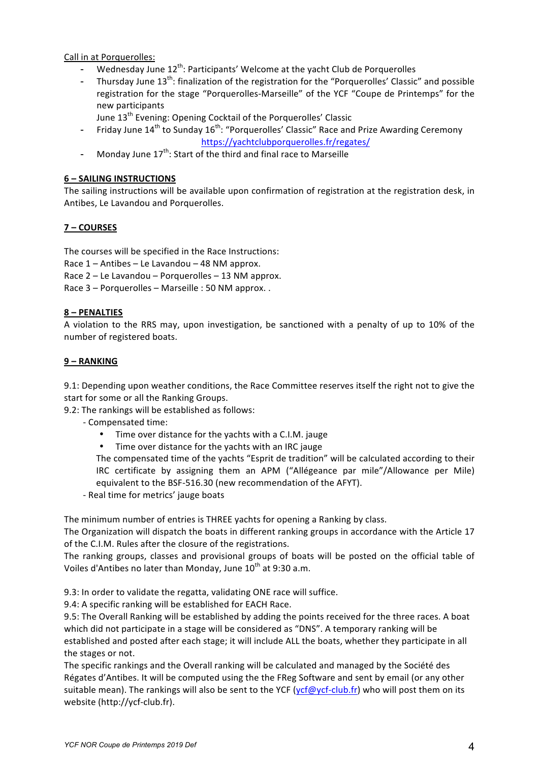Call in at Porquerolles:

- Wednesday June 12<sup>th</sup>: Participants' Welcome at the yacht Club de Porquerolles
- Thursday June  $13^{th}$ : finalization of the registration for the "Porquerolles' Classic" and possible registration for the stage "Porquerolles-Marseille" of the YCF "Coupe de Printemps" for the new participants
	- June 13<sup>th</sup> Evening: Opening Cocktail of the Porquerolles' Classic
- Friday June  $14<sup>th</sup>$  to Sunday  $16<sup>th</sup>$ : "Porquerolles' Classic" Race and Prize Awarding Ceremony https://yachtclubporquerolles.fr/regates/
- Monday June  $17<sup>th</sup>$ : Start of the third and final race to Marseille

## **6 – SAILING!INSTRUCTIONS**

The sailing instructions will be available upon confirmation of registration at the registration desk, in Antibes, Le Lavandou and Porquerolles.

## **7 – COURSES**

The courses will be specified in the Race Instructions:

Race  $1 -$  Antibes – Le Lavandou – 48 NM approx.

Race  $2 -$  Le Lavandou – Porquerolles – 13 NM approx.

Race  $3$  – Porquerolles – Marseille : 50 NM approx. .

### **8 –!PENALTIES**

A violation to the RRS may, upon investigation, be sanctioned with a penalty of up to 10% of the number of registered boats.

### **9 – RANKING**

9.1: Depending upon weather conditions, the Race Committee reserves itself the right not to give the start for some or all the Ranking Groups.

9.2: The rankings will be established as follows:

- Compensated time:
	- Time over distance for the yachts with a C.I.M. jauge
	- Time over distance for the yachts with an IRC jauge

The compensated time of the yachts "Esprit de tradition" will be calculated according to their IRC certificate by assigning them an APM ("Allégeance par mile"/Allowance per Mile) equivalent to the BSF-516.30 (new recommendation of the AFYT).

- Real time for metrics' jauge boats

The minimum number of entries is THREE yachts for opening a Ranking by class.

The Organization will dispatch the boats in different ranking groups in accordance with the Article 17 of the C.I.M. Rules after the closure of the registrations.

The ranking groups, classes and provisional groups of boats will be posted on the official table of Voiles d'Antibes no later than Monday, June  $10^{th}$  at 9:30 a.m.

9.3: In order to validate the regatta, validating ONE race will suffice.

9.4: A specific ranking will be established for EACH Race.

9.5: The Overall Ranking will be established by adding the points received for the three races. A boat which did not participate in a stage will be considered as "DNS". A temporary ranking will be established and posted after each stage; it will include ALL the boats, whether they participate in all the stages or not.

The specific rankings and the Overall ranking will be calculated and managed by the Société des Régates d'Antibes. It will be computed using the the FReg Software and sent by email (or any other suitable mean). The rankings will also be sent to the YCF (ycf@ycf-club.fr) who will post them on its website (http://ycf-club.fr).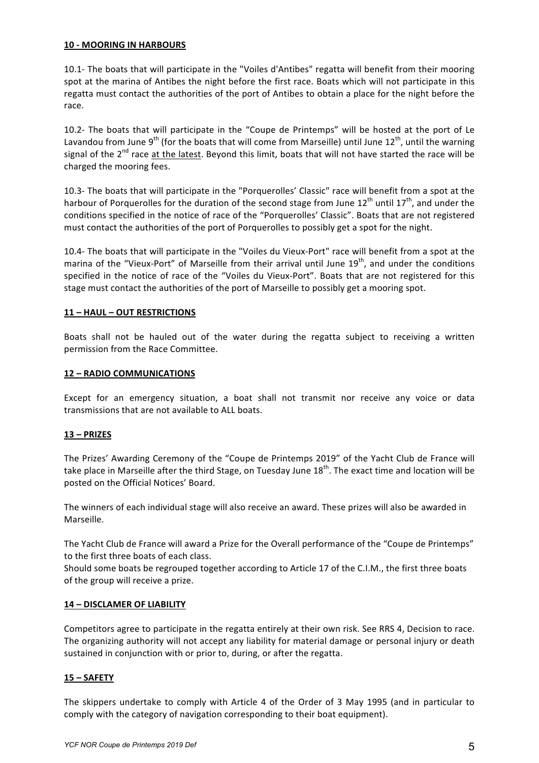#### **10 - MOORING IN HARBOURS**

10.1- The boats that will participate in the "Voiles d'Antibes" regatta will benefit from their mooring spot at the marina of Antibes the night before the first race. Boats which will not participate in this regatta must contact the authorities of the port of Antibes to obtain a place for the night before the race.

10.2- The boats that will participate in the "Coupe de Printemps" will be hosted at the port of Le Lavandou from June 9<sup>th</sup> (for the boats that will come from Marseille) until June 12<sup>th</sup>, until the warning signal of the  $2^{nd}$  race at the latest. Beyond this limit, boats that will not have started the race will be charged the mooring fees.

10.3- The boats that will participate in the "Porquerolles' Classic" race will benefit from a spot at the harbour of Porquerolles for the duration of the second stage from June  $12^{th}$  until  $17^{th}$ , and under the conditions specified in the notice of race of the "Porquerolles' Classic". Boats that are not registered must contact the authorities of the port of Porquerolles to possibly get a spot for the night.

10.4- The boats that will participate in the "Voiles du Vieux-Port" race will benefit from a spot at the marina of the "Vieux-Port" of Marseille from their arrival until June 19<sup>th</sup>, and under the conditions specified in the notice of race of the "Voiles du Vieux-Port". Boats that are not registered for this stage must contact the authorities of the port of Marseille to possibly get a mooring spot.

#### **11 – HAUL!–!OUT!RESTRICTIONS**

Boats shall not be hauled out of the water during the regatta subject to receiving a written permission from the Race Committee.

#### **12 – RADIO!COMMUNICATIONS**

Except for an emergency situation, a boat shall not transmit nor receive any voice or data transmissions that are not available to ALL boats.

#### **13 –!PRIZES**

The Prizes' Awarding Ceremony of the "Coupe de Printemps 2019" of the Yacht Club de France will take place in Marseille after the third Stage, on Tuesday June  $18<sup>th</sup>$ . The exact time and location will be posted on the Official Notices' Board.

The winners of each individual stage will also receive an award. These prizes will also be awarded in Marseille.

The Yacht Club de France will award a Prize for the Overall performance of the "Coupe de Printemps" to the first three boats of each class.

Should some boats be regrouped together according to Article 17 of the C.I.M., the first three boats of the group will receive a prize.

#### **14 - DISCLAMER OF LIABILITY**

Competitors agree to participate in the regatta entirely at their own risk. See RRS 4, Decision to race. The organizing authority will not accept any liability for material damage or personal injury or death sustained in conjunction with or prior to, during, or after the regatta.

#### **15 –!SAFETY**

The skippers undertake to comply with Article 4 of the Order of 3 May 1995 (and in particular to comply with the category of navigation corresponding to their boat equipment).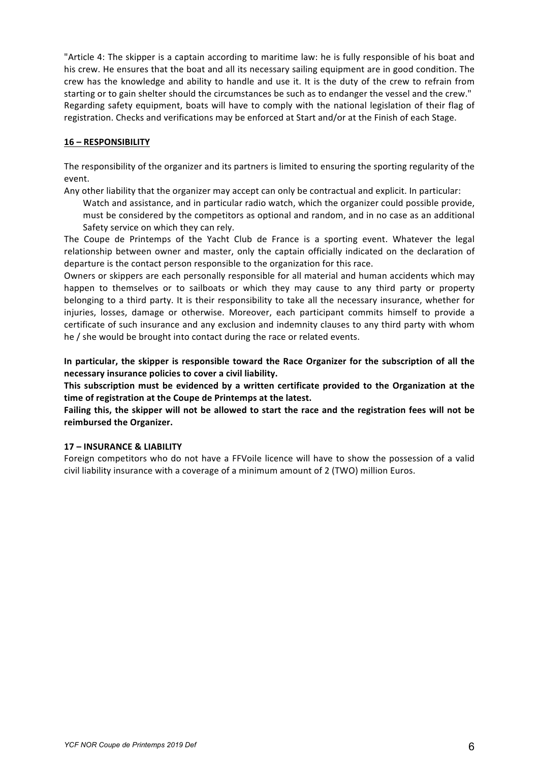"Article 4: The skipper is a captain according to maritime law: he is fully responsible of his boat and his crew. He ensures that the boat and all its necessary sailing equipment are in good condition. The crew has the knowledge and ability to handle and use it. It is the duty of the crew to refrain from starting or to gain shelter should the circumstances be such as to endanger the vessel and the crew." Regarding safety equipment, boats will have to comply with the national legislation of their flag of registration. Checks and verifications may be enforced at Start and/or at the Finish of each Stage.

#### **16 –!RESPONSIBILITY**

The responsibility of the organizer and its partners is limited to ensuring the sporting regularity of the event.

Any other liability that the organizer may accept can only be contractual and explicit. In particular:

Watch and assistance, and in particular radio watch, which the organizer could possible provide, must be considered by the competitors as optional and random, and in no case as an additional Safety service on which they can rely.

The Coupe de Printemps of the Yacht Club de France is a sporting event. Whatever the legal relationship between owner and master, only the captain officially indicated on the declaration of departure is the contact person responsible to the organization for this race.

Owners or skippers are each personally responsible for all material and human accidents which may happen to themselves or to sailboats or which they may cause to any third party or property belonging to a third party. It is their responsibility to take all the necessary insurance, whether for injuries, losses, damage or otherwise. Moreover, each participant commits himself to provide a certificate of such insurance and any exclusion and indemnity clauses to any third party with whom he / she would be brought into contact during the race or related events.

In particular, the skipper is responsible toward the Race Organizer for the subscription of all the necessary insurance policies to cover a civil liability.

This subscription must be evidenced by a written certificate provided to the Organization at the time of registration at the Coupe de Printemps at the latest.

Failing this, the skipper will not be allowed to start the race and the registration fees will not be reimbursed the Organizer.

## **17 – INSURANCE!&!LIABILITY**

Foreign competitors who do not have a FFVoile licence will have to show the possession of a valid civil liability insurance with a coverage of a minimum amount of 2 (TWO) million Euros.